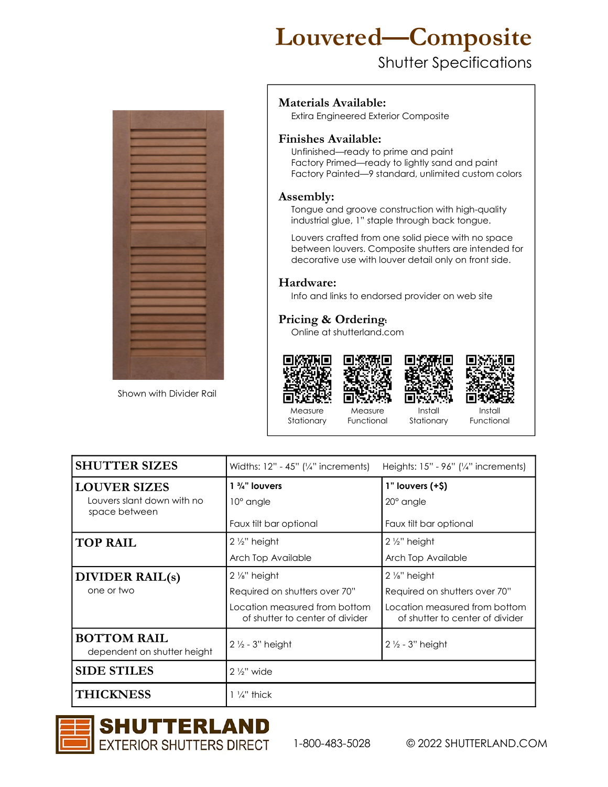# Louvered—Composite

### Shutter Specifications



Shown with Divider Rail

#### Materials Available:

Extira Engineered Exterior Composite

#### Finishes Available:

 Unfinished—ready to prime and paint Factory Primed—ready to lightly sand and paint Factory Painted—9 standard, unlimited custom colors

#### Assembly:

Tongue and groove construction with high-quality industrial glue, 1" staple through back tongue.

 Louvers crafted from one solid piece with no space between louvers. Composite shutters are intended for decorative use with louver detail only on front side.

#### Hardware:

Info and links to endorsed provider on web site

#### Pricing & Ordering:

Online at shutterland.com



Install Functional

| <b>SHUTTER SIZES</b>                              | Widths: $12" - 45"$ ('/4" increments)<br>Heights: $15" - 96"$ ( $\frac{1}{4}$ " increments) |                                                                  |  |  |
|---------------------------------------------------|---------------------------------------------------------------------------------------------|------------------------------------------------------------------|--|--|
| <b>LOUVER SIZES</b>                               | $1 \frac{3}{4}$ " louvers                                                                   | $1"$ louvers $(+\$)$                                             |  |  |
| Louvers slant down with no<br>space between       | 10° angle                                                                                   | 20° angle                                                        |  |  |
|                                                   | Faux tilt bar optional<br>Faux tilt bar optional                                            |                                                                  |  |  |
| <b>TOP RAIL</b>                                   | $2\frac{1}{2}$ " height                                                                     | $2\frac{1}{2}$ " height                                          |  |  |
|                                                   | Arch Top Available                                                                          | Arch Top Available                                               |  |  |
| <b>DIVIDER RAIL(s)</b>                            | $2\frac{1}{8}$ " height                                                                     | $2\frac{1}{8}$ " height                                          |  |  |
| one or two                                        | Required on shutters over 70"                                                               | Required on shutters over 70"                                    |  |  |
|                                                   | Location measured from bottom<br>of shutter to center of divider                            | Location measured from bottom<br>of shutter to center of divider |  |  |
| <b>BOTTOM RAIL</b><br>dependent on shutter height | $2\frac{1}{2}$ - 3" height                                                                  | $2\frac{1}{2}$ - 3" height                                       |  |  |
| <b>SIDE STILES</b>                                | $2\frac{1}{2}$ " wide                                                                       |                                                                  |  |  |
| <b>THICKNESS</b>                                  | $\frac{1}{4}$ " thick                                                                       |                                                                  |  |  |